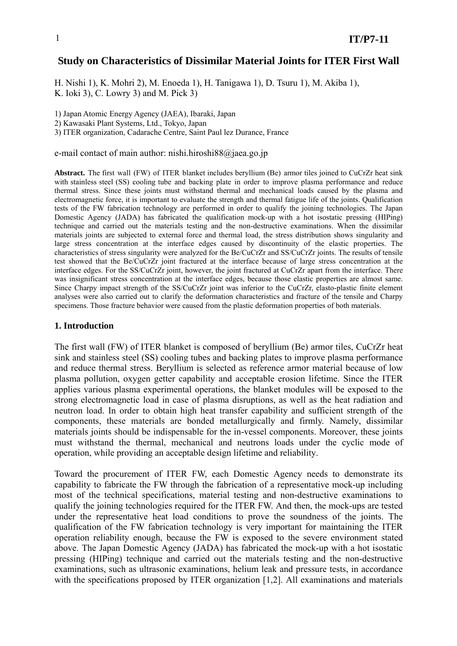# **Study on Characteristics of Dissimilar Material Joints for ITER First Wall**

H. Nishi 1), K. Mohri 2), M. Enoeda 1), H. Tanigawa 1), D. Tsuru 1), M. Akiba 1), K. Ioki 3), C. Lowry 3) and M. Pick 3)

1) Japan Atomic Energy Agency (JAEA), Ibaraki, Japan

2) Kawasaki Plant Systems, Ltd., Tokyo, Japan

3) ITER organization, Cadarache Centre, Saint Paul lez Durance, France

e-mail contact of main author: nishi.hiroshi88@jaea.go.jp

Abstract. The first wall (FW) of ITER blanket includes beryllium (Be) armor tiles joined to CuCrZr heat sink with stainless steel (SS) cooling tube and backing plate in order to improve plasma performance and reduce thermal stress. Since these joints must withstand thermal and mechanical loads caused by the plasma and electromagnetic force, it is important to evaluate the strength and thermal fatigue life of the joints. Qualification tests of the FW fabrication technology are performed in order to qualify the joining technologies. The Japan Domestic Agency (JADA) has fabricated the qualification mock-up with a hot isostatic pressing (HIPing) technique and carried out the materials testing and the non-destructive examinations. When the dissimilar materials joints are subjected to external force and thermal load, the stress distribution shows singularity and large stress concentration at the interface edges caused by discontinuity of the elastic properties. The characteristics of stress singularity were analyzed for the Be/CuCrZr and SS/CuCrZr joints. The results of tensile test showed that the Be/CuCrZr joint fractured at the interface because of large stress concentration at the interface edges. For the SS/CuCrZr joint, however, the joint fractured at CuCrZr apart from the interface. There was insignificant stress concentration at the interface edges, because those elastic properties are almost same. Since Charpy impact strength of the SS/CuCrZr joint was inferior to the CuCrZr, elasto-plastic finite element analyses were also carried out to clarify the deformation characteristics and fracture of the tensile and Charpy specimens. Those fracture behavior were caused from the plastic deformation properties of both materials.

### **1. Introduction**

The first wall (FW) of ITER blanket is composed of beryllium (Be) armor tiles, CuCrZr heat sink and stainless steel (SS) cooling tubes and backing plates to improve plasma performance and reduce thermal stress. Beryllium is selected as reference armor material because of low plasma pollution, oxygen getter capability and acceptable erosion lifetime. Since the ITER applies various plasma experimental operations, the blanket modules will be exposed to the strong electromagnetic load in case of plasma disruptions, as well as the heat radiation and neutron load. In order to obtain high heat transfer capability and sufficient strength of the components, these materials are bonded metallurgically and firmly. Namely, dissimilar materials joints should be indispensable for the in-vessel components. Moreover, these joints must withstand the thermal, mechanical and neutrons loads under the cyclic mode of operation, while providing an acceptable design lifetime and reliability.

Toward the procurement of ITER FW, each Domestic Agency needs to demonstrate its capability to fabricate the FW through the fabrication of a representative mock-up including most of the technical specifications, material testing and non-destructive examinations to qualify the joining technologies required for the ITER FW. And then, the mock-ups are tested under the representative heat load conditions to prove the soundness of the joints. The qualification of the FW fabrication technology is very important for maintaining the ITER operation reliability enough, because the FW is exposed to the severe environment stated above. The Japan Domestic Agency (JADA) has fabricated the mock-up with a hot isostatic pressing (HIPing) technique and carried out the materials testing and the non-destructive examinations, such as ultrasonic examinations, helium leak and pressure tests, in accordance with the specifications proposed by ITER organization [1,2]. All examinations and materials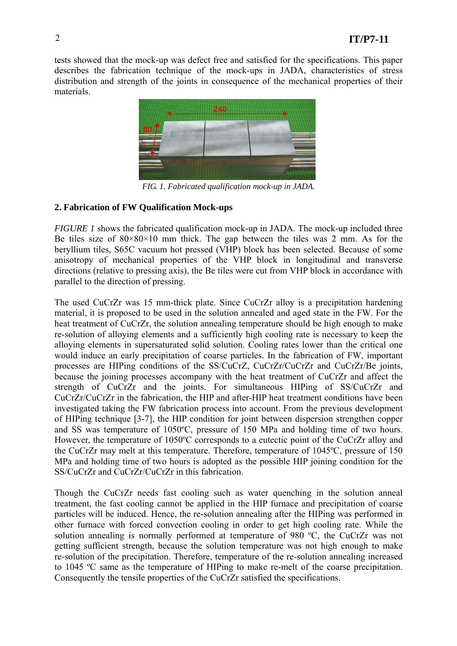tests showed that the mock-up was defect free and satisfied for the specifications. This paper describes the fabrication technique of the mock-ups in JADA, characteristics of stress distribution and strength of the joints in consequence of the mechanical properties of their materials.



*FIG. 1. Fabricated qualification mock-up in JADA.* 

# **2. Fabrication of FW Qualification Mock-ups**

*FIGURE 1* shows the fabricated qualification mock-up in JADA. The mock-up included three Be tiles size of  $80 \times 80 \times 10$  mm thick. The gap between the tiles was 2 mm. As for the beryllium tiles, S65C vacuum hot pressed (VHP) block has been selected. Because of some anisotropy of mechanical properties of the VHP block in longitudinal and transverse directions (relative to pressing axis), the Be tiles were cut from VHP block in accordance with parallel to the direction of pressing.

The used CuCrZr was 15 mm-thick plate. Since CuCrZr alloy is a precipitation hardening material, it is proposed to be used in the solution annealed and aged state in the FW. For the heat treatment of CuCrZr, the solution annealing temperature should be high enough to make re-solution of alloying elements and a sufficiently high cooling rate is necessary to keep the alloying elements in supersaturated solid solution. Cooling rates lower than the critical one would induce an early precipitation of coarse particles. In the fabrication of FW, important processes are HIPing conditions of the SS/CuCrZ, CuCrZr/CuCrZr and CuCrZr/Be joints, because the joining processes accompany with the heat treatment of CuCrZr and affect the strength of CuCrZr and the joints. For simultaneous HIPing of SS/CuCrZr and CuCrZr/CuCrZr in the fabrication, the HIP and after-HIP heat treatment conditions have been investigated taking the FW fabrication process into account. From the previous development of HIPing technique [3-7], the HIP condition for joint between dispersion strengthen copper and SS was temperature of 1050ºC, pressure of 150 MPa and holding time of two hours. However, the temperature of 1050ºC corresponds to a eutectic point of the CuCrZr alloy and the CuCrZr may melt at this temperature. Therefore, temperature of 1045ºC, pressure of 150 MPa and holding time of two hours is adopted as the possible HIP joining condition for the SS/CuCrZr and CuCrZr/CuCrZr in this fabrication.

Though the CuCrZr needs fast cooling such as water quenching in the solution anneal treatment, the fast cooling cannot be applied in the HIP furnace and precipitation of coarse particles will be induced. Hence, the re-solution annealing after the HIPing was performed in other furnace with forced convection cooling in order to get high cooling rate. While the solution annealing is normally performed at temperature of 980 °C, the CuCrZr was not getting sufficient strength, because the solution temperature was not high enough to make re-solution of the precipitation. Therefore, temperature of the re-solution annealing increased to 1045 ºC same as the temperature of HIPing to make re-melt of the coarse precipitation. Consequently the tensile properties of the CuCrZr satisfied the specifications.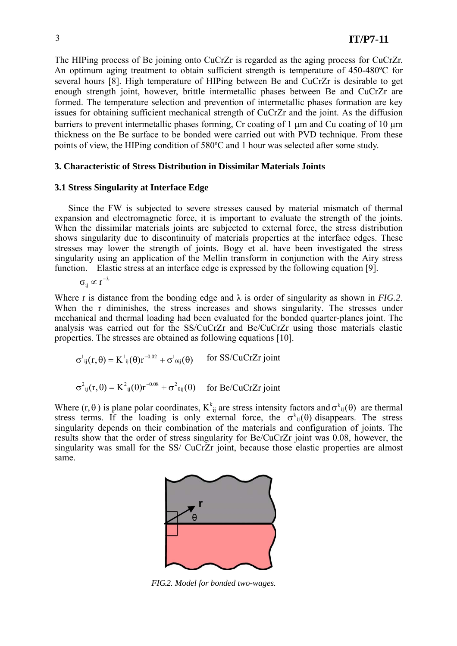The HIPing process of Be joining onto CuCrZr is regarded as the aging process for CuCrZr. An optimum aging treatment to obtain sufficient strength is temperature of 450-480ºC for several hours [8]. High temperature of HIPing between Be and CuCrZr is desirable to get enough strength joint, however, brittle intermetallic phases between Be and CuCrZr are formed. The temperature selection and prevention of intermetallic phases formation are key issues for obtaining sufficient mechanical strength of CuCrZr and the joint. As the diffusion barriers to prevent intermetallic phases forming, Cr coating of 1 µm and Cu coating of 10 µm thickness on the Be surface to be bonded were carried out with PVD technique. From these points of view, the HIPing condition of 580ºC and 1 hour was selected after some study.

### **3. Characteristic of Stress Distribution in Dissimilar Materials Joints**

#### **3.1 Stress Singularity at Interface Edge**

Since the FW is subjected to severe stresses caused by material mismatch of thermal expansion and electromagnetic force, it is important to evaluate the strength of the joints. When the dissimilar materials joints are subjected to external force, the stress distribution shows singularity due to discontinuity of materials properties at the interface edges. These stresses may lower the strength of joints. Bogy et al. have been investigated the stress singularity using an application of the Mellin transform in conjunction with the Airy stress function. Elastic stress at an interface edge is expressed by the following equation [9].

$$
\sigma_{ii} \propto r^{-2}
$$

Where r is distance from the bonding edge and  $\lambda$  is order of singularity as shown in *FIG.2*. When the r diminishes, the stress increases and shows singularity. The stresses under mechanical and thermal loading had been evaluated for the bonded quarter-planes joint. The analysis was carried out for the SS/CuCrZr and Be/CuCrZr using those materials elastic properties. The stresses are obtained as following equations [10].

$$
\sigma^{1}_{ij}(r,\theta) = K^{1}_{ij}(\theta)r^{-0.02} + \sigma^{1}_{0ij}(\theta) \quad \text{for SS/CuCrZr joint}
$$
  

$$
\sigma^{2}_{ij}(r,\theta) = K^{2}_{ij}(\theta)r^{-0.08} + \sigma^{2}_{0ij}(\theta) \quad \text{for Be/CuCrZr joint}
$$

Where  $(r, \theta)$  is plane polar coordinates,  $K_{ij}^k$  are stress intensity factors and  $\sigma_{ij}^k(\theta)$  are thermal stress terms. If the loading is only external force, the  $\sigma_{ii}^k(\theta)$  disappears. The stress singularity depends on their combination of the materials and configuration of joints. The results show that the order of stress singularity for Be/CuCrZr joint was 0.08, however, the singularity was small for the SS/ CuCrZr joint, because those elastic properties are almost same.



 *FIG.2. Model for bonded two-wages.*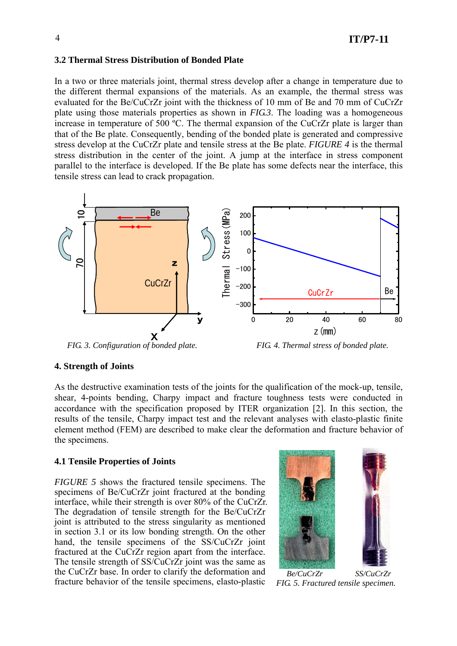#### **3.2 Thermal Stress Distribution of Bonded Plate**

In a two or three materials joint, thermal stress develop after a change in temperature due to the different thermal expansions of the materials. As an example, the thermal stress was evaluated for the Be/CuCrZr joint with the thickness of 10 mm of Be and 70 mm of CuCrZr plate using those materials properties as shown in *FIG.3*. The loading was a homogeneous increase in temperature of 500 ºC. The thermal expansion of the CuCrZr plate is larger than that of the Be plate. Consequently, bending of the bonded plate is generated and compressive stress develop at the CuCrZr plate and tensile stress at the Be plate. *FIGURE 4* is the thermal stress distribution in the center of the joint. A jump at the interface in stress component parallel to the interface is developed. If the Be plate has some defects near the interface, this tensile stress can lead to crack propagation.



 *FIG. 3. Configuration of bonded plate. FIG. 4. Thermal stress of bonded plate.*

### **4. Strength of Joints**

As the destructive examination tests of the joints for the qualification of the mock-up, tensile, shear, 4-points bending, Charpy impact and fracture toughness tests were conducted in accordance with the specification proposed by ITER organization [2]. In this section, the results of the tensile, Charpy impact test and the relevant analyses with elasto-plastic finite element method (FEM) are described to make clear the deformation and fracture behavior of the specimens.

### **4.1 Tensile Properties of Joints**

*FIGURE 5* shows the fractured tensile specimens. The specimens of Be/CuCrZr joint fractured at the bonding interface, while their strength is over 80% of the CuCrZr. The degradation of tensile strength for the Be/CuCrZr joint is attributed to the stress singularity as mentioned in section 3.1 or its low bonding strength. On the other hand, the tensile specimens of the SS/CuCrZr joint fractured at the CuCrZr region apart from the interface. The tensile strength of SS/CuCrZr joint was the same as the CuCrZr base. In order to clarify the deformation and fracture behavior of the tensile specimens, elasto-plastic



 *Be/CuCrZr SS/CuCrZr FIG. 5. Fractured tensile specimen.*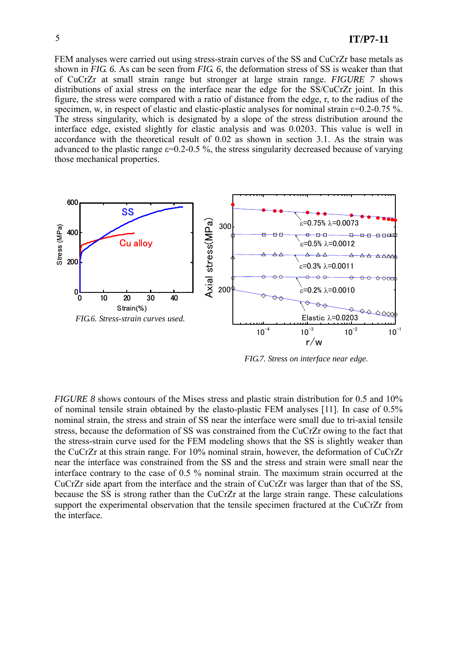FEM analyses were carried out using stress-strain curves of the SS and CuCrZr base metals as shown in *FIG. 6.* As can be seen from *FIG. 6*, the deformation stress of SS is weaker than that of CuCrZr at small strain range but stronger at large strain range. *FIGURE 7* shows distributions of axial stress on the interface near the edge for the SS/CuCrZr joint. In this figure, the stress were compared with a ratio of distance from the edge, r, to the radius of the specimen, w, in respect of elastic and elastic-plastic analyses for nominal strain ε=0.2-0.75 %. The stress singularity, which is designated by a slope of the stress distribution around the interface edge, existed slightly for elastic analysis and was 0.0203. This value is well in accordance with the theoretical result of 0.02 as shown in section 3.1. As the strain was advanced to the plastic range  $\varepsilon$ =0.2-0.5 %, the stress singularity decreased because of varying those mechanical properties.



 *FIG.7. Stress on interface near edge.*

*FIGURE 8* shows contours of the Mises stress and plastic strain distribution for 0.5 and 10% of nominal tensile strain obtained by the elasto-plastic FEM analyses [11]. In case of 0.5% nominal strain, the stress and strain of SS near the interface were small due to tri-axial tensile stress, because the deformation of SS was constrained from the CuCrZr owing to the fact that the stress-strain curve used for the FEM modeling shows that the SS is slightly weaker than the CuCrZr at this strain range. For 10% nominal strain, however, the deformation of CuCrZr near the interface was constrained from the SS and the stress and strain were small near the interface contrary to the case of 0.5 % nominal strain. The maximum strain occurred at the CuCrZr side apart from the interface and the strain of CuCrZr was larger than that of the SS, because the SS is strong rather than the CuCrZr at the large strain range. These calculations support the experimental observation that the tensile specimen fractured at the CuCrZr from the interface.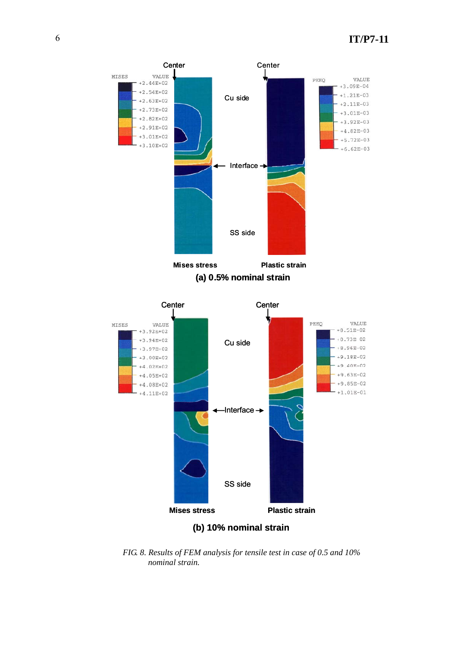

**(a) 0.5% nominal strain**



**(b) 10% nominal strain**

 *FIG. 8. Results of FEM analysis for tensile test in case of 0.5 and 10% nominal strain.*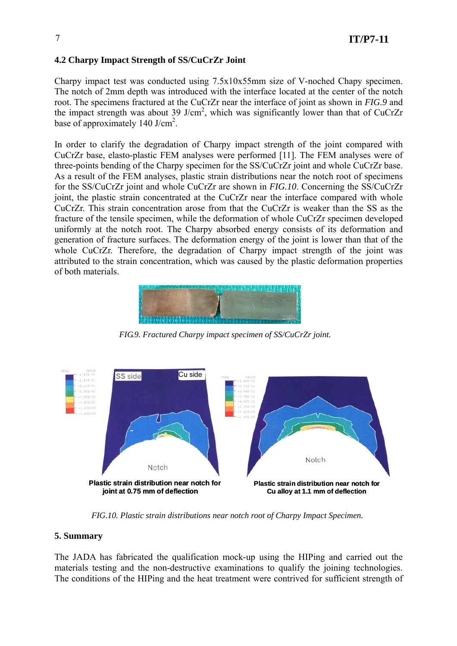# **4.2 Charpy Impact Strength of SS/CuCrZr Joint**

Charpy impact test was conducted using 7.5x10x55mm size of V-noched Chapy specimen. The notch of 2mm depth was introduced with the interface located at the center of the notch root. The specimens fractured at the CuCrZr near the interface of joint as shown in *FIG.9* and the impact strength was about 39 J/cm<sup>2</sup>, which was significantly lower than that of CuCrZr base of approximately  $140 \text{ J/cm}^2$ .

In order to clarify the degradation of Charpy impact strength of the joint compared with CuCrZr base, elasto-plastic FEM analyses were performed [11]. The FEM analyses were of three-points bending of the Charpy specimen for the SS/CuCrZr joint and whole CuCrZr base. As a result of the FEM analyses, plastic strain distributions near the notch root of specimens for the SS/CuCrZr joint and whole CuCrZr are shown in *FIG.10*. Concerning the SS/CuCrZr joint, the plastic strain concentrated at the CuCrZr near the interface compared with whole CuCrZr. This strain concentration arose from that the CuCrZr is weaker than the SS as the fracture of the tensile specimen, while the deformation of whole CuCrZr specimen developed uniformly at the notch root. The Charpy absorbed energy consists of its deformation and generation of fracture surfaces. The deformation energy of the joint is lower than that of the whole CuCrZr. Therefore, the degradation of Charpy impact strength of the joint was attributed to the strain concentration, which was caused by the plastic deformation properties of both materials.



*FIG.9. Fractured Charpy impact specimen of SS/CuCrZr joint.*



*FIG.10. Plastic strain distributions near notch root of Charpy Impact Specimen.*

# **5. Summary**

The JADA has fabricated the qualification mock-up using the HIPing and carried out the materials testing and the non-destructive examinations to qualify the joining technologies. The conditions of the HIPing and the heat treatment were contrived for sufficient strength of